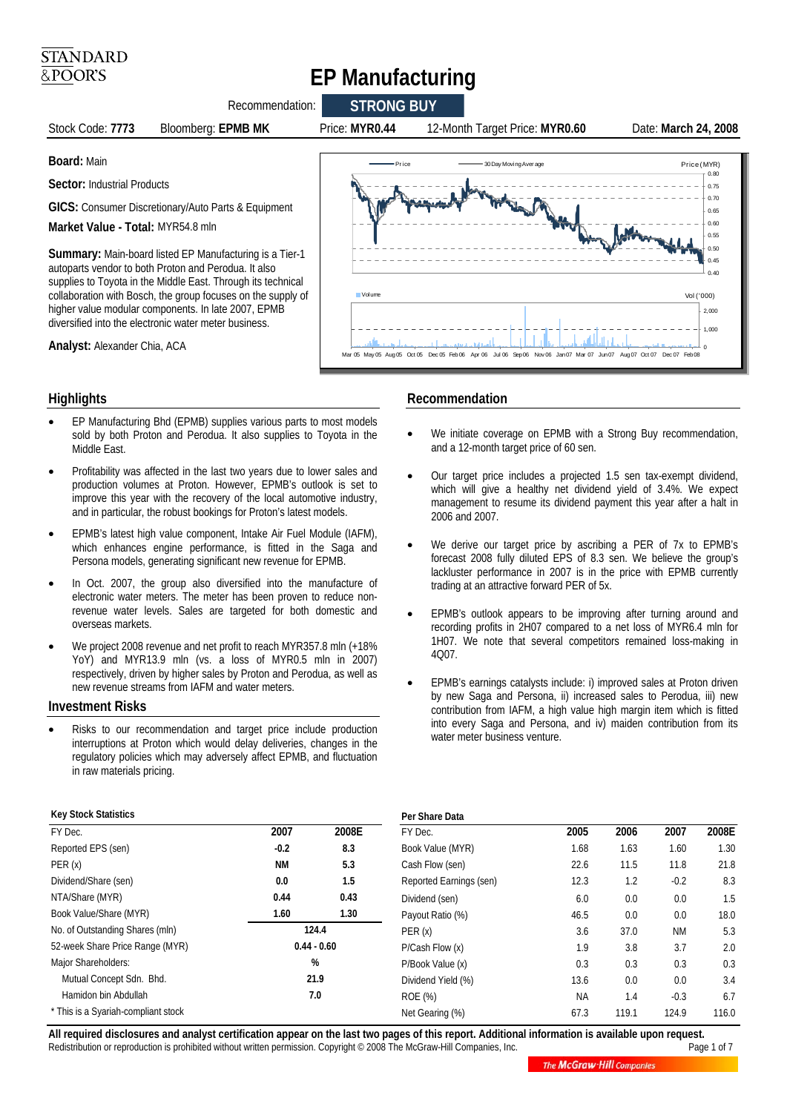# **EP Manufacturing**



#### **Highlights**

**STANDARD** &POOR'S

- EP Manufacturing Bhd (EPMB) supplies various parts to most models sold by both Proton and Perodua. It also supplies to Toyota in the Middle East.
- Profitability was affected in the last two years due to lower sales and production volumes at Proton. However, EPMB's outlook is set to improve this year with the recovery of the local automotive industry, and in particular, the robust bookings for Proton's latest models.
- EPMB's latest high value component, Intake Air Fuel Module (IAFM), which enhances engine performance, is fitted in the Saga and Persona models, generating significant new revenue for EPMB.
- In Oct. 2007, the group also diversified into the manufacture of electronic water meters. The meter has been proven to reduce nonrevenue water levels. Sales are targeted for both domestic and overseas markets.
- We project 2008 revenue and net profit to reach MYR357.8 mln (+18% YoY) and MYR13.9 mln (vs. a loss of MYR0.5 mln in 2007) respectively, driven by higher sales by Proton and Perodua, as well as new revenue streams from IAFM and water meters.

#### **Investment Risks**

**Key Stock Statistics**

• Risks to our recommendation and target price include production interruptions at Proton which would delay deliveries, changes in the regulatory policies which may adversely affect EPMB, and fluctuation in raw materials pricing.

### **Recommendation**

- We initiate coverage on EPMB with a Strong Buy recommendation, and a 12-month target price of 60 sen.
- Our target price includes a projected 1.5 sen tax-exempt dividend, which will give a healthy net dividend yield of 3.4%. We expect management to resume its dividend payment this year after a halt in 2006 and 2007.
- We derive our target price by ascribing a PER of 7x to EPMB's forecast 2008 fully diluted EPS of 8.3 sen. We believe the group's lackluster performance in 2007 is in the price with EPMB currently trading at an attractive forward PER of 5x.
- EPMB's outlook appears to be improving after turning around and recording profits in 2H07 compared to a net loss of MYR6.4 mln for 1H07. We note that several competitors remained loss-making in 4Q07.
- EPMB's earnings catalysts include: i) improved sales at Proton driven by new Saga and Persona, ii) increased sales to Perodua, iii) new contribution from IAFM, a high value high margin item which is fitted into every Saga and Persona, and iv) maiden contribution from its water meter business venture.

| <b>Key Stock Statistics</b>         |               |       | Per Share Data          |           |       |           |                 |
|-------------------------------------|---------------|-------|-------------------------|-----------|-------|-----------|-----------------|
| FY Dec.                             | 2007          | 2008E | FY Dec.                 | 2005      | 2006  | 2007      | 2008E           |
| Reported EPS (sen)                  | $-0.2$        | 8.3   | Book Value (MYR)        | 1.68      | 1.63  | 1.60      | 1.3C            |
| PER(x)                              | <b>NM</b>     | 5.3   | Cash Flow (sen)         | 22.6      | 11.5  | 11.8      | 21.8            |
| Dividend/Share (sen)                | 0.0           | 1.5   | Reported Earnings (sen) | 12.3      | 1.2   | $-0.2$    | 8.3             |
| NTA/Share (MYR)                     | 0.44          | 0.43  | Dividend (sen)          | 6.0       | 0.0   | 0.0       | 1.5             |
| Book Value/Share (MYR)              | 1.60          | 1.30  | Payout Ratio (%)        | 46.5      | 0.0   | 0.0       | 18 <sub>c</sub> |
| No. of Outstanding Shares (mln)     | 124.4         |       | PER(x)                  | 3.6       | 37.0  | <b>NM</b> | 5.3             |
| 52-week Share Price Range (MYR)     | $0.44 - 0.60$ |       | P/Cash Flow (x)         | 1.9       | 3.8   | 3.7       | 2.0             |
| Major Shareholders:                 | %             |       | P/Book Value (x)        | 0.3       | 0.3   | 0.3       | 0.3             |
| Mutual Concept Sdn. Bhd.            | 21.9          |       | Dividend Yield (%)      | 13.6      | 0.0   | 0.0       | 3.4             |
| Hamidon bin Abdullah                | 7.0           |       | ROE (%)                 | <b>NA</b> | 1.4   | $-0.3$    | 6.7             |
| * This is a Syariah-compliant stock |               |       | Net Gearing (%)         | 67.3      | 119.1 | 124.9     | 116.0           |

All required disclosures and analyst certification appear on the last two pages of this report. Additional information is available upon request.<br>Page 1 of 7 Page 1 of 7 Redistribution or reproduction is prohibited without written permission. Copyright © 2008 The McGraw-Hill Companies, Inc.

**The McGraw Hill Companies**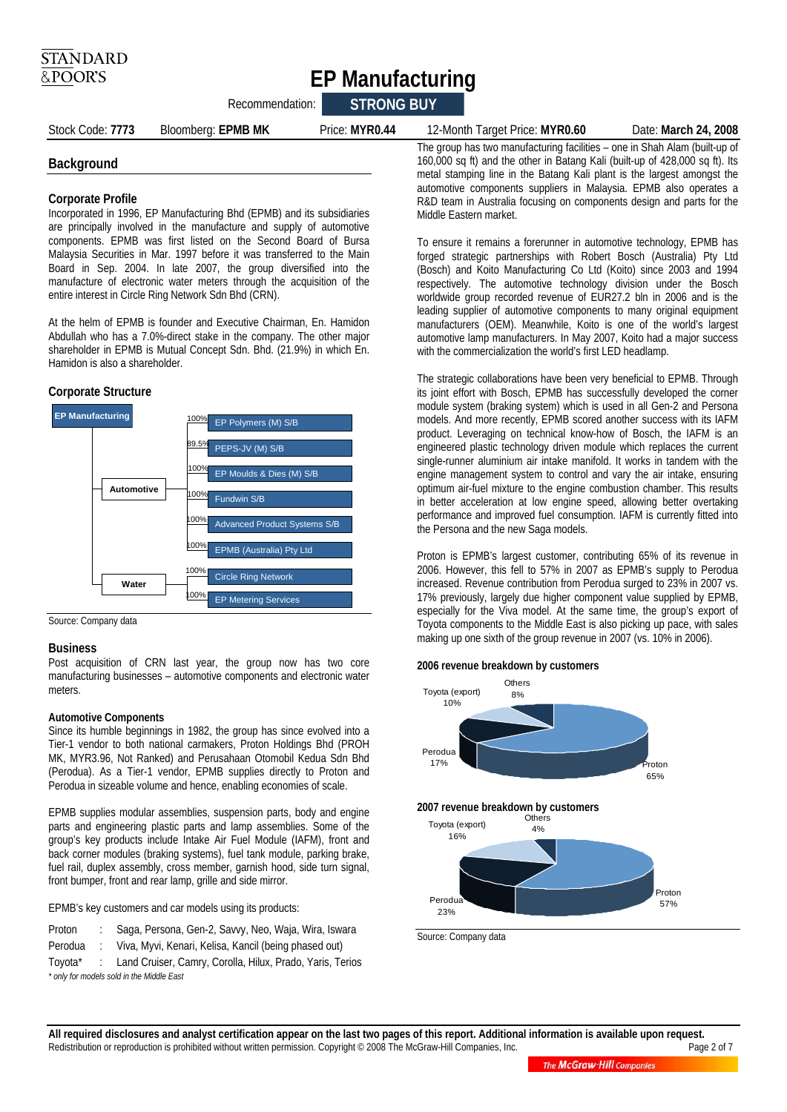## **EP Manufacturing**

Recommendation: **STRONG BUY** 

Stock Code: **7773** Bloomberg: **EPMB MK** Price: **MYR0.44** 12-Month Target Price: **MYR0.60** Date: **March 24, 2008** 

#### **Background**

#### **Corporate Profile**

Incorporated in 1996, EP Manufacturing Bhd (EPMB) and its subsidiaries are principally involved in the manufacture and supply of automotive components. EPMB was first listed on the Second Board of Bursa Malaysia Securities in Mar. 1997 before it was transferred to the Main Board in Sep. 2004. In late 2007, the group diversified into the manufacture of electronic water meters through the acquisition of the entire interest in Circle Ring Network Sdn Bhd (CRN).

At the helm of EPMB is founder and Executive Chairman, En. Hamidon Abdullah who has a 7.0%-direct stake in the company. The other major shareholder in EPMB is Mutual Concept Sdn. Bhd. (21.9%) in which En. Hamidon is also a shareholder.

#### **Corporate Structure**



Source: Company data

#### **Business**

Post acquisition of CRN last year, the group now has two core manufacturing businesses – automotive components and electronic water meters.

#### **Automotive Components**

Since its humble beginnings in 1982, the group has since evolved into a Tier-1 vendor to both national carmakers, Proton Holdings Bhd (PROH MK, MYR3.96, Not Ranked) and Perusahaan Otomobil Kedua Sdn Bhd (Perodua). As a Tier-1 vendor, EPMB supplies directly to Proton and Perodua in sizeable volume and hence, enabling economies of scale.

EPMB supplies modular assemblies, suspension parts, body and engine parts and engineering plastic parts and lamp assemblies. Some of the group's key products include Intake Air Fuel Module (IAFM), front and back corner modules (braking systems), fuel tank module, parking brake, fuel rail, duplex assembly, cross member, garnish hood, side turn signal, front bumper, front and rear lamp, grille and side mirror.

EPMB's key customers and car models using its products:

- Proton : Saga, Persona, Gen-2, Savvy, Neo, Waja, Wira, Iswara
- Perodua : Viva, Myvi, Kenari, Kelisa, Kancil (being phased out)

Toyota\* : Land Cruiser, Camry, Corolla, Hilux, Prado, Yaris, Terios *\* only for models sold in the Middle East* 

The group has two manufacturing facilities – one in Shah Alam (built-up of 160,000 sq ft) and the other in Batang Kali (built-up of 428,000 sq ft). Its metal stamping line in the Batang Kali plant is the largest amongst the automotive components suppliers in Malaysia. EPMB also operates a R&D team in Australia focusing on components design and parts for the Middle Eastern market.

To ensure it remains a forerunner in automotive technology, EPMB has forged strategic partnerships with Robert Bosch (Australia) Pty Ltd (Bosch) and Koito Manufacturing Co Ltd (Koito) since 2003 and 1994 respectively. The automotive technology division under the Bosch worldwide group recorded revenue of EUR27.2 bln in 2006 and is the leading supplier of automotive components to many original equipment manufacturers (OEM). Meanwhile, Koito is one of the world's largest automotive lamp manufacturers. In May 2007, Koito had a major success with the commercialization the world's first LED headlamp.

The strategic collaborations have been very beneficial to EPMB. Through its joint effort with Bosch, EPMB has successfully developed the corner module system (braking system) which is used in all Gen-2 and Persona models. And more recently, EPMB scored another success with its IAFM product. Leveraging on technical know-how of Bosch, the IAFM is an engineered plastic technology driven module which replaces the current single-runner aluminium air intake manifold. It works in tandem with the engine management system to control and vary the air intake, ensuring optimum air-fuel mixture to the engine combustion chamber. This results in better acceleration at low engine speed, allowing better overtaking performance and improved fuel consumption. IAFM is currently fitted into the Persona and the new Saga models.

Proton is EPMB's largest customer, contributing 65% of its revenue in 2006. However, this fell to 57% in 2007 as EPMB's supply to Perodua increased. Revenue contribution from Perodua surged to 23% in 2007 vs. 17% previously, largely due higher component value supplied by EPMB, especially for the Viva model. At the same time, the group's export of Toyota components to the Middle East is also picking up pace, with sales making up one sixth of the group revenue in 2007 (vs. 10% in 2006).

#### **2006 revenue breakdown by customers**



Source: Company data

All required disclosures and analyst certification appear on the last two pages of this report. Additional information is available upon request.<br>Page 2 of 7 Page 2 of 7 Redistribution or reproduction is prohibited without written permission. Copyright © 2008 The McGraw-Hill Companies, Inc.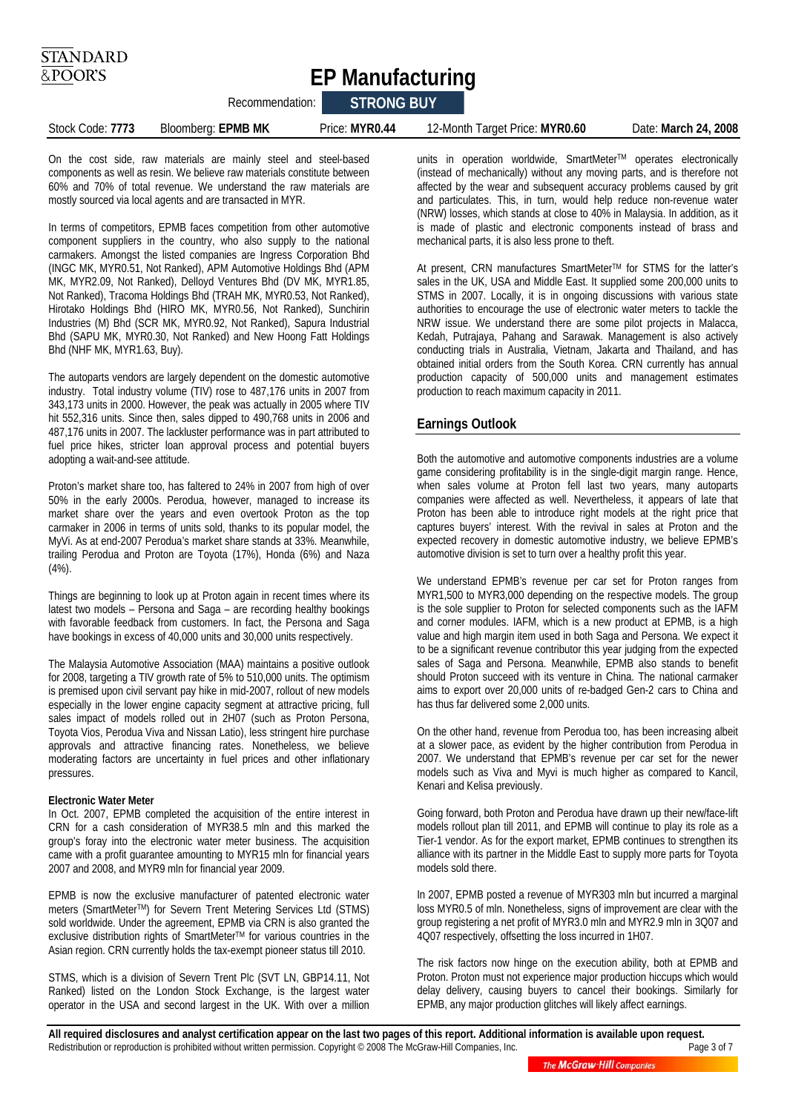**EP Manufacturing** 

|                  | RECONTINUENTATION. | <b>JIRUNU DUT</b> |                                |                      |
|------------------|--------------------|-------------------|--------------------------------|----------------------|
| Stock Code: 7773 | Bloomberg: EPMB MK | Price: MYR0.44    | 12-Month Target Price: MYR0.60 | Date: March 24, 2008 |

On the cost side, raw materials are mainly steel and steel-based components as well as resin. We believe raw materials constitute between 60% and 70% of total revenue. We understand the raw materials are mostly sourced via local agents and are transacted in MYR.

Recommendation: **STRONG BUY** 

In terms of competitors, EPMB faces competition from other automotive component suppliers in the country, who also supply to the national carmakers. Amongst the listed companies are Ingress Corporation Bhd (INGC MK, MYR0.51, Not Ranked), APM Automotive Holdings Bhd (APM MK, MYR2.09, Not Ranked), Delloyd Ventures Bhd (DV MK, MYR1.85, Not Ranked), Tracoma Holdings Bhd (TRAH MK, MYR0.53, Not Ranked), Hirotako Holdings Bhd (HIRO MK, MYR0.56, Not Ranked), Sunchirin Industries (M) Bhd (SCR MK, MYR0.92, Not Ranked), Sapura Industrial Bhd (SAPU MK, MYR0.30, Not Ranked) and New Hoong Fatt Holdings Bhd (NHF MK, MYR1.63, Buy).

The autoparts vendors are largely dependent on the domestic automotive industry. Total industry volume (TIV) rose to 487,176 units in 2007 from 343,173 units in 2000. However, the peak was actually in 2005 where TIV hit 552,316 units. Since then, sales dipped to 490,768 units in 2006 and 487,176 units in 2007. The lackluster performance was in part attributed to fuel price hikes, stricter loan approval process and potential buyers adopting a wait-and-see attitude.

Proton's market share too, has faltered to 24% in 2007 from high of over 50% in the early 2000s. Perodua, however, managed to increase its market share over the years and even overtook Proton as the top carmaker in 2006 in terms of units sold, thanks to its popular model, the MyVi. As at end-2007 Perodua's market share stands at 33%. Meanwhile, trailing Perodua and Proton are Toyota (17%), Honda (6%) and Naza (4%).

Things are beginning to look up at Proton again in recent times where its latest two models – Persona and Saga – are recording healthy bookings with favorable feedback from customers. In fact, the Persona and Saga have bookings in excess of 40,000 units and 30,000 units respectively.

The Malaysia Automotive Association (MAA) maintains a positive outlook for 2008, targeting a TIV growth rate of 5% to 510,000 units. The optimism is premised upon civil servant pay hike in mid-2007, rollout of new models especially in the lower engine capacity segment at attractive pricing, full sales impact of models rolled out in 2H07 (such as Proton Persona, Toyota Vios, Perodua Viva and Nissan Latio), less stringent hire purchase approvals and attractive financing rates. Nonetheless, we believe moderating factors are uncertainty in fuel prices and other inflationary pressures.

#### **Electronic Water Meter**

In Oct. 2007, EPMB completed the acquisition of the entire interest in CRN for a cash consideration of MYR38.5 mln and this marked the group's foray into the electronic water meter business. The acquisition came with a profit guarantee amounting to MYR15 mln for financial years 2007 and 2008, and MYR9 mln for financial year 2009.

EPMB is now the exclusive manufacturer of patented electronic water meters (SmartMeterTM) for Severn Trent Metering Services Ltd (STMS) sold worldwide. Under the agreement, EPMB via CRN is also granted the exclusive distribution rights of SmartMeter™ for various countries in the Asian region. CRN currently holds the tax-exempt pioneer status till 2010.

STMS, which is a division of Severn Trent Plc (SVT LN, GBP14.11, Not Ranked) listed on the London Stock Exchange, is the largest water operator in the USA and second largest in the UK. With over a million units in operation worldwide, SmartMeter™ operates electronically (instead of mechanically) without any moving parts, and is therefore not affected by the wear and subsequent accuracy problems caused by grit and particulates. This, in turn, would help reduce non-revenue water (NRW) losses, which stands at close to 40% in Malaysia. In addition, as it is made of plastic and electronic components instead of brass and mechanical parts, it is also less prone to theft.

At present, CRN manufactures SmartMeterTM for STMS for the latter's sales in the UK, USA and Middle East. It supplied some 200,000 units to STMS in 2007. Locally, it is in ongoing discussions with various state authorities to encourage the use of electronic water meters to tackle the NRW issue. We understand there are some pilot projects in Malacca, Kedah, Putrajaya, Pahang and Sarawak. Management is also actively conducting trials in Australia, Vietnam, Jakarta and Thailand, and has obtained initial orders from the South Korea. CRN currently has annual production capacity of 500,000 units and management estimates production to reach maximum capacity in 2011.

#### **Earnings Outlook**

Both the automotive and automotive components industries are a volume game considering profitability is in the single-digit margin range. Hence, when sales volume at Proton fell last two years, many autoparts companies were affected as well. Nevertheless, it appears of late that Proton has been able to introduce right models at the right price that captures buyers' interest. With the revival in sales at Proton and the expected recovery in domestic automotive industry, we believe EPMB's automotive division is set to turn over a healthy profit this year.

We understand EPMB's revenue per car set for Proton ranges from MYR1,500 to MYR3,000 depending on the respective models. The group is the sole supplier to Proton for selected components such as the IAFM and corner modules. IAFM, which is a new product at EPMB, is a high value and high margin item used in both Saga and Persona. We expect it to be a significant revenue contributor this year judging from the expected sales of Saga and Persona. Meanwhile, EPMB also stands to benefit should Proton succeed with its venture in China. The national carmaker aims to export over 20,000 units of re-badged Gen-2 cars to China and has thus far delivered some 2,000 units.

On the other hand, revenue from Perodua too, has been increasing albeit at a slower pace, as evident by the higher contribution from Perodua in 2007. We understand that EPMB's revenue per car set for the newer models such as Viva and Myvi is much higher as compared to Kancil, Kenari and Kelisa previously.

Going forward, both Proton and Perodua have drawn up their new/face-lift models rollout plan till 2011, and EPMB will continue to play its role as a Tier-1 vendor. As for the export market, EPMB continues to strengthen its alliance with its partner in the Middle East to supply more parts for Toyota models sold there.

In 2007, EPMB posted a revenue of MYR303 mln but incurred a marginal loss MYR0.5 of mln. Nonetheless, signs of improvement are clear with the group registering a net profit of MYR3.0 mln and MYR2.9 mln in 3Q07 and 4Q07 respectively, offsetting the loss incurred in 1H07.

The risk factors now hinge on the execution ability, both at EPMB and Proton. Proton must not experience major production hiccups which would delay delivery, causing buyers to cancel their bookings. Similarly for EPMB, any major production glitches will likely affect earnings.

All required disclosures and analyst certification appear on the last two pages of this report. Additional information is available upon request.<br>Redistribution or reproduction is prohibited without written permission. Cop Redistribution or reproduction is prohibited without written permission. Copyright © 2008 The McGraw-Hill Companies, Inc.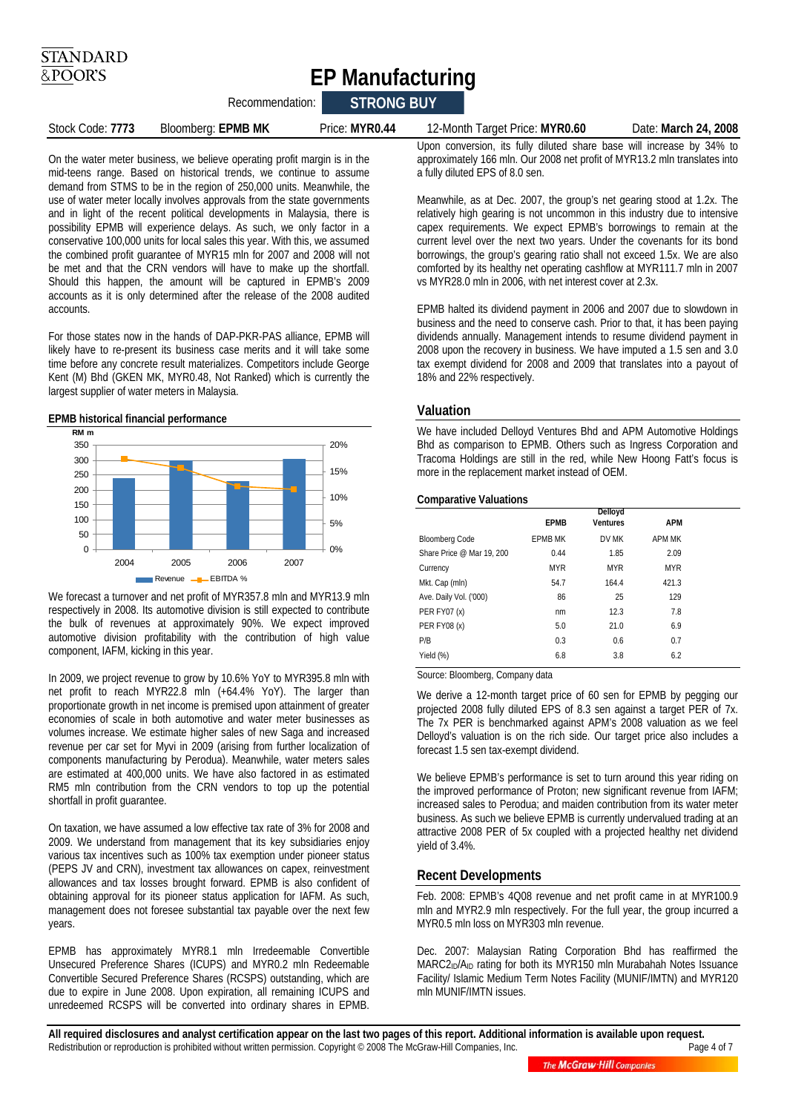## **EP Manufacturing**

Recommendation: **STRONG BUY** 

| Stock Code: 7773 | Bloomberg: EPMB MK | Price: MYR0.44 | 12-Month Ta |
|------------------|--------------------|----------------|-------------|

#### Stock Code: **7773** Bloomberg: **EPMB MK** Price: **MYR0.44** 12-Month Target Price: **MYR0.60** Date: **March 24, 2008**

On the water meter business, we believe operating profit margin is in the mid-teens range. Based on historical trends, we continue to assume demand from STMS to be in the region of 250,000 units. Meanwhile, the use of water meter locally involves approvals from the state governments and in light of the recent political developments in Malaysia, there is possibility EPMB will experience delays. As such, we only factor in a conservative 100,000 units for local sales this year. With this, we assumed the combined profit guarantee of MYR15 mln for 2007 and 2008 will not be met and that the CRN vendors will have to make up the shortfall. Should this happen, the amount will be captured in EPMB's 2009 accounts as it is only determined after the release of the 2008 audited accounts.

For those states now in the hands of DAP-PKR-PAS alliance, EPMB will likely have to re-present its business case merits and it will take some time before any concrete result materializes. Competitors include George Kent (M) Bhd (GKEN MK, MYR0.48, Not Ranked) which is currently the largest supplier of water meters in Malaysia.

#### **EPMB historical financial performance**



We forecast a turnover and net profit of MYR357.8 mln and MYR13.9 mln respectively in 2008. Its automotive division is still expected to contribute the bulk of revenues at approximately 90%. We expect improved automotive division profitability with the contribution of high value component, IAFM, kicking in this year.

In 2009, we project revenue to grow by 10.6% YoY to MYR395.8 mln with net profit to reach MYR22.8 mln (+64.4% YoY). The larger than proportionate growth in net income is premised upon attainment of greater economies of scale in both automotive and water meter businesses as volumes increase. We estimate higher sales of new Saga and increased revenue per car set for Myvi in 2009 (arising from further localization of components manufacturing by Perodua). Meanwhile, water meters sales are estimated at 400,000 units. We have also factored in as estimated RM5 mln contribution from the CRN vendors to top up the potential shortfall in profit guarantee.

On taxation, we have assumed a low effective tax rate of 3% for 2008 and 2009. We understand from management that its key subsidiaries enjoy various tax incentives such as 100% tax exemption under pioneer status (PEPS JV and CRN), investment tax allowances on capex, reinvestment allowances and tax losses brought forward. EPMB is also confident of obtaining approval for its pioneer status application for IAFM. As such, management does not foresee substantial tax payable over the next few years.

EPMB has approximately MYR8.1 mln Irredeemable Convertible Unsecured Preference Shares (ICUPS) and MYR0.2 mln Redeemable Convertible Secured Preference Shares (RCSPS) outstanding, which are due to expire in June 2008. Upon expiration, all remaining ICUPS and unredeemed RCSPS will be converted into ordinary shares in EPMB.

Upon conversion, its fully diluted share base will increase by 34% to approximately 166 mln. Our 2008 net profit of MYR13.2 mln translates into a fully diluted EPS of 8.0 sen.

Meanwhile, as at Dec. 2007, the group's net gearing stood at 1.2x. The relatively high gearing is not uncommon in this industry due to intensive capex requirements. We expect EPMB's borrowings to remain at the current level over the next two years. Under the covenants for its bond borrowings, the group's gearing ratio shall not exceed 1.5x. We are also comforted by its healthy net operating cashflow at MYR111.7 mln in 2007 vs MYR28.0 mln in 2006, with net interest cover at 2.3x.

EPMB halted its dividend payment in 2006 and 2007 due to slowdown in business and the need to conserve cash. Prior to that, it has been paying dividends annually. Management intends to resume dividend payment in 2008 upon the recovery in business. We have imputed a 1.5 sen and 3.0 tax exempt dividend for 2008 and 2009 that translates into a payout of 18% and 22% respectively.

#### **Valuation**

We have included Delloyd Ventures Bhd and APM Automotive Holdings Bhd as comparison to EPMB. Others such as Ingress Corporation and Tracoma Holdings are still in the red, while New Hoong Fatt's focus is more in the replacement market instead of OEM.

#### **Comparative Valuations**

|                           | <b>EPMB</b>    | Delloyd<br><b>Ventures</b> | <b>APM</b>    |
|---------------------------|----------------|----------------------------|---------------|
| <b>Bloomberg Code</b>     | <b>FPMB MK</b> | DV MK                      | <b>APM MK</b> |
| Share Price @ Mar 19, 200 | 0.44           | 1.85                       | 2.09          |
| Currency                  | <b>MYR</b>     | <b>MYR</b>                 | <b>MYR</b>    |
| Mkt. Cap (mln)            | 54.7           | 164.4                      | 421.3         |
| Ave. Daily Vol. ('000)    | 86             | 25                         | 129           |
| <b>PER FY07 (x)</b>       | nm             | 12.3                       | 7.8           |
| PER FY08 (x)              | 5.0            | 21.0                       | 6.9           |
| P/B                       | 0.3            | 0.6                        | 0.7           |
| Yield (%)                 | 6.8            | 3.8                        | 6.2           |

Source: Bloomberg, Company data

We derive a 12-month target price of 60 sen for EPMB by pegging our projected 2008 fully diluted EPS of 8.3 sen against a target PER of 7x. The 7x PER is benchmarked against APM's 2008 valuation as we feel Delloyd's valuation is on the rich side. Our target price also includes a forecast 1.5 sen tax-exempt dividend.

We believe EPMB's performance is set to turn around this year riding on the improved performance of Proton; new significant revenue from IAFM; increased sales to Perodua; and maiden contribution from its water meter business. As such we believe EPMB is currently undervalued trading at an attractive 2008 PER of 5x coupled with a projected healthy net dividend yield of 3.4%.

#### **Recent Developments**

Feb. 2008: EPMB's 4Q08 revenue and net profit came in at MYR100.9 mln and MYR2.9 mln respectively. For the full year, the group incurred a MYR0.5 mln loss on MYR303 mln revenue.

Dec. 2007: Malaysian Rating Corporation Bhd has reaffirmed the MARC2<sub>ID</sub>/A<sub>ID</sub> rating for both its MYR150 mln Murabahah Notes Issuance Facility/ Islamic Medium Term Notes Facility (MUNIF/IMTN) and MYR120 mln MUNIF/IMTN issues.

All required disclosures and analyst certification appear on the last two pages of this report. Additional information is available upon request.<br>Redistribution or reproduction is prohibited without written permission. Cop Redistribution or reproduction is prohibited without written permission. Copyright © 2008 The McGraw-Hill Companies, Inc.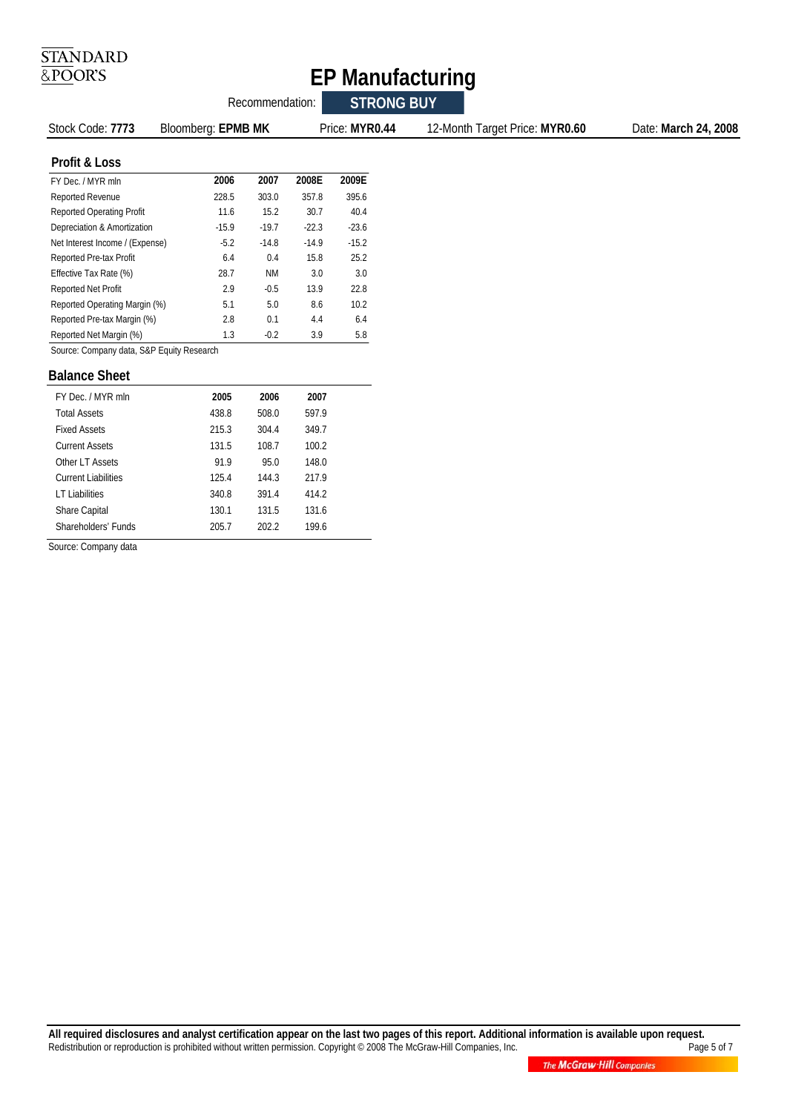# $\frac{\overline{\text{STA}}\text{N} \text{D} \text{ARD}}{\underline{\& \text{PO}} \text{OR} \text{'S}}$

## **EP Manufacturing**

| Recommendation:                           |                    |         |           |         | <b>STRONG BUY</b> |                                                        |
|-------------------------------------------|--------------------|---------|-----------|---------|-------------------|--------------------------------------------------------|
| Stock Code: 7773                          | Bloomberg: EPMB MK |         |           |         | Price: MYR0.44    | 12-Month Target Price: MYR0.60<br>Date: March 24, 2008 |
| Profit & Loss                             |                    |         |           |         |                   |                                                        |
| FY Dec. / MYR mln                         |                    | 2006    | 2007      | 2008E   | 2009E             |                                                        |
| Reported Revenue                          |                    | 228.5   | 303.0     | 357.8   | 395.6             |                                                        |
| <b>Reported Operating Profit</b>          |                    | 11.6    | 15.2      | 30.7    | 40.4              |                                                        |
| Depreciation & Amortization               |                    | $-15.9$ | $-19.7$   | $-22.3$ | $-23.6$           |                                                        |
| Net Interest Income / (Expense)           |                    | $-5.2$  | $-14.8$   | $-14.9$ | $-15.2$           |                                                        |
| Reported Pre-tax Profit                   |                    | 6.4     | 0.4       | 15.8    | 25.2              |                                                        |
| Effective Tax Rate (%)                    |                    | 28.7    | <b>NM</b> | 3.0     | 3.0               |                                                        |
| Reported Net Profit                       |                    | 2.9     | $-0.5$    | 13.9    | 22.8              |                                                        |
| Reported Operating Margin (%)             |                    | 5.1     | 5.0       | 8.6     | 10.2              |                                                        |
| Reported Pre-tax Margin (%)               |                    | 2.8     | 0.1       | 4.4     | 6.4               |                                                        |
| Reported Net Margin (%)                   |                    | 1.3     | $-0.2$    | 3.9     | 5.8               |                                                        |
| Source: Company data, S&P Equity Research |                    |         |           |         |                   |                                                        |
| <b>Balance Sheet</b>                      |                    |         |           |         |                   |                                                        |

| FY Dec. / MYR mln          | 2005  | 2006  | 2007  |  |
|----------------------------|-------|-------|-------|--|
| <b>Total Assets</b>        | 438.8 | 508.0 | 597.9 |  |
| <b>Fixed Assets</b>        | 215.3 | 304.4 | 349.7 |  |
| Current Assets             | 131.5 | 108.7 | 100.2 |  |
| Other LT Assets            | 91.9  | 95.0  | 148.0 |  |
| <b>Current Liabilities</b> | 125.4 | 144.3 | 217.9 |  |
| <b>LT Liabilities</b>      | 340.8 | 391.4 | 414.2 |  |
| <b>Share Capital</b>       | 130.1 | 131.5 | 131.6 |  |
| Shareholders' Funds        | 205.7 | 202.2 | 1996  |  |
|                            |       |       |       |  |

Source: Company data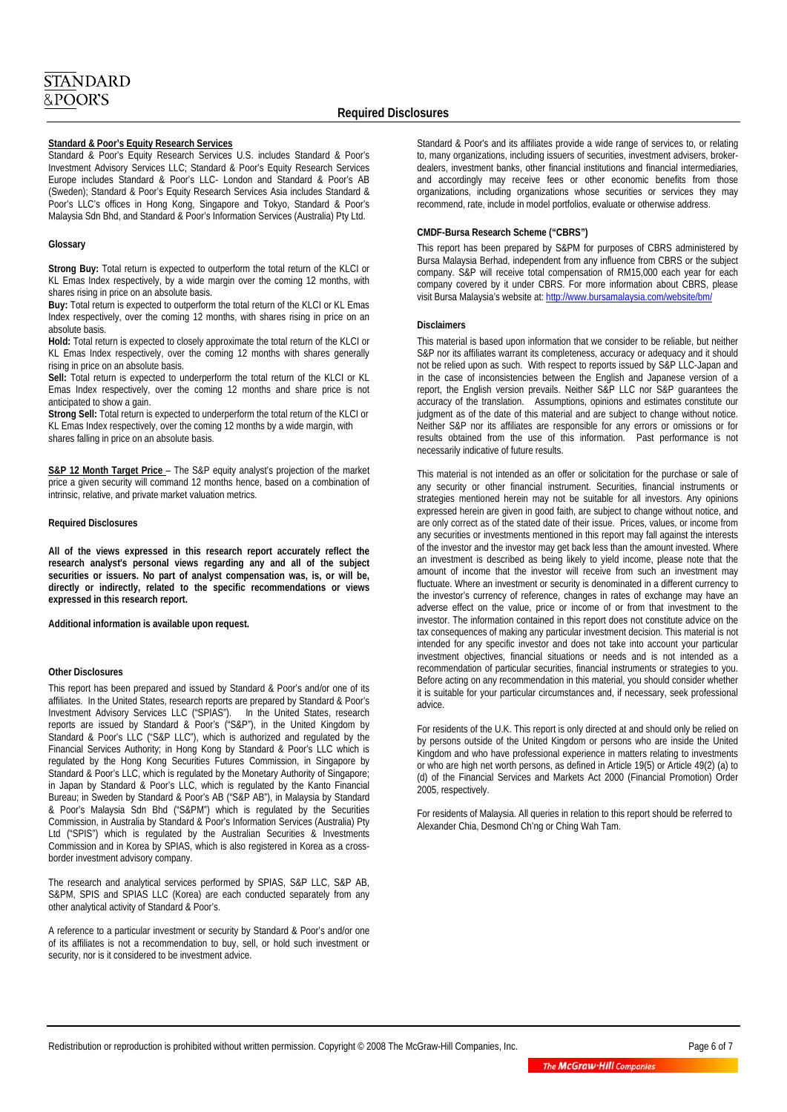#### **Standard & Poor's Equity Research Services**

Standard & Poor's Equity Research Services U.S. includes Standard & Poor's Investment Advisory Services LLC; Standard & Poor's Equity Research Services Europe includes Standard & Poor's LLC- London and Standard & Poor's AB (Sweden); Standard & Poor's Equity Research Services Asia includes Standard & Poor's LLC's offices in Hong Kong, Singapore and Tokyo, Standard & Poor's Malaysia Sdn Bhd, and Standard & Poor's Information Services (Australia) Pty Ltd.

#### **Glossary**

**Strong Buy:** Total return is expected to outperform the total return of the KLCI or KL Emas Index respectively, by a wide margin over the coming 12 months, with shares rising in price on an absolute basis.

**Buy:** Total return is expected to outperform the total return of the KLCI or KL Emas Index respectively, over the coming 12 months, with shares rising in price on an absolute basis.

**Hold:** Total return is expected to closely approximate the total return of the KLCI or KL Emas Index respectively, over the coming 12 months with shares generally rising in price on an absolute basis.

**Sell:** Total return is expected to underperform the total return of the KLCI or KL Emas Index respectively, over the coming 12 months and share price is not anticipated to show a gain.

**Strong Sell:** Total return is expected to underperform the total return of the KLCI or KL Emas Index respectively, over the coming 12 months by a wide margin, with shares falling in price on an absolute basis.

**S&P 12 Month Target Price** – The S&P equity analyst's projection of the market price a given security will command 12 months hence, based on a combination of intrinsic, relative, and private market valuation metrics.

#### **Required Disclosures**

**All of the views expressed in this research report accurately reflect the research analyst's personal views regarding any and all of the subject securities or issuers. No part of analyst compensation was, is, or will be, directly or indirectly, related to the specific recommendations or views expressed in this research report.** 

**Additional information is available upon request.** 

#### **Other Disclosures**

This report has been prepared and issued by Standard & Poor's and/or one of its affiliates. In the United States, research reports are prepared by Standard & Poor's Investment Advisory Services LLC ("SPIAS"). In the United States, research reports are issued by Standard & Poor's ("S&P"), in the United Kingdom by Standard & Poor's LLC ("S&P LLC"), which is authorized and regulated by the Financial Services Authority; in Hong Kong by Standard & Poor's LLC which is regulated by the Hong Kong Securities Futures Commission, in Singapore by Standard & Poor's LLC, which is regulated by the Monetary Authority of Singapore; in Japan by Standard & Poor's LLC, which is regulated by the Kanto Financial Bureau; in Sweden by Standard & Poor's AB ("S&P AB"), in Malaysia by Standard & Poor's Malaysia Sdn Bhd ("S&PM") which is regulated by the Securities Commission, in Australia by Standard & Poor's Information Services (Australia) Pty Ltd ("SPIS") which is regulated by the Australian Securities & Investments Commission and in Korea by SPIAS, which is also registered in Korea as a crossborder investment advisory company.

The research and analytical services performed by SPIAS, S&P LLC, S&P AB, S&PM, SPIS and SPIAS LLC (Korea) are each conducted separately from any other analytical activity of Standard & Poor's.

A reference to a particular investment or security by Standard & Poor's and/or one of its affiliates is not a recommendation to buy, sell, or hold such investment or security, nor is it considered to be investment advice.

Standard & Poor's and its affiliates provide a wide range of services to, or relating to, many organizations, including issuers of securities, investment advisers, brokerdealers, investment banks, other financial institutions and financial intermediaries, and accordingly may receive fees or other economic benefits from those organizations, including organizations whose securities or services they may recommend, rate, include in model portfolios, evaluate or otherwise address.

#### **CMDF-Bursa Research Scheme ("CBRS")**

This report has been prepared by S&PM for purposes of CBRS administered by Bursa Malaysia Berhad, independent from any influence from CBRS or the subject company. S&P will receive total compensation of RM15,000 each year for each company covered by it under CBRS. For more information about CBRS, please visit Bursa Malaysia's website at: http://www.bursamalaysia.com/website/bm/

#### **Disclaimers**

This material is based upon information that we consider to be reliable, but neither S&P nor its affiliates warrant its completeness, accuracy or adequacy and it should not be relied upon as such. With respect to reports issued by S&P LLC-Japan and in the case of inconsistencies between the English and Japanese version of a report, the English version prevails. Neither S&P LLC nor S&P guarantees the accuracy of the translation. Assumptions, opinions and estimates constitute our judgment as of the date of this material and are subject to change without notice. Neither S&P nor its affiliates are responsible for any errors or omissions or for results obtained from the use of this information. Past performance is not necessarily indicative of future results.

This material is not intended as an offer or solicitation for the purchase or sale of any security or other financial instrument. Securities, financial instruments or strategies mentioned herein may not be suitable for all investors. Any opinions expressed herein are given in good faith, are subject to change without notice, and are only correct as of the stated date of their issue. Prices, values, or income from any securities or investments mentioned in this report may fall against the interests of the investor and the investor may get back less than the amount invested. Where an investment is described as being likely to yield income, please note that the amount of income that the investor will receive from such an investment may fluctuate. Where an investment or security is denominated in a different currency to the investor's currency of reference, changes in rates of exchange may have an adverse effect on the value, price or income of or from that investment to the investor. The information contained in this report does not constitute advice on the tax consequences of making any particular investment decision. This material is not intended for any specific investor and does not take into account your particular investment objectives, financial situations or needs and is not intended as a recommendation of particular securities, financial instruments or strategies to you. Before acting on any recommendation in this material, you should consider whether it is suitable for your particular circumstances and, if necessary, seek professional advice.

For residents of the U.K. This report is only directed at and should only be relied on by persons outside of the United Kingdom or persons who are inside the United Kingdom and who have professional experience in matters relating to investments or who are high net worth persons, as defined in Article 19(5) or Article 49(2) (a) to (d) of the Financial Services and Markets Act 2000 (Financial Promotion) Order 2005, respectively.

For residents of Malaysia. All queries in relation to this report should be referred to Alexander Chia, Desmond Ch'ng or Ching Wah Tam.